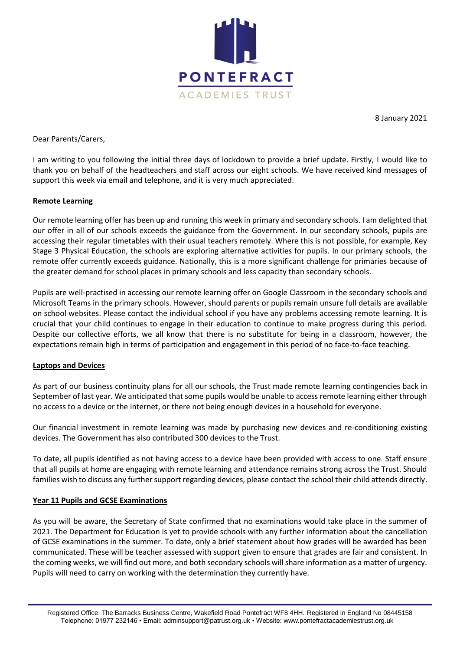

8 January 2021

Dear Parents/Carers,

I am writing to you following the initial three days of lockdown to provide a brief update. Firstly, I would like to thank you on behalf of the headteachers and staff across our eight schools. We have received kind messages of support this week via email and telephone, and it is very much appreciated.

## **Remote Learning**

Our remote learning offer has been up and running this week in primary and secondary schools. I am delighted that our offer in all of our schools exceeds the guidance from the Government. In our secondary schools, pupils are accessing their regular timetables with their usual teachers remotely. Where this is not possible, for example, Key Stage 3 Physical Education, the schools are exploring alternative activities for pupils. In our primary schools, the remote offer currently exceeds guidance. Nationally, this is a more significant challenge for primaries because of the greater demand for school places in primary schools and less capacity than secondary schools.

Pupils are well-practised in accessing our remote learning offer on Google Classroom in the secondary schools and Microsoft Teams in the primary schools. However, should parents or pupils remain unsure full details are available on school websites. Please contact the individual school if you have any problems accessing remote learning. It is crucial that your child continues to engage in their education to continue to make progress during this period. Despite our collective efforts, we all know that there is no substitute for being in a classroom, however, the expectations remain high in terms of participation and engagement in this period of no face-to-face teaching.

## **Laptops and Devices**

As part of our business continuity plans for all our schools, the Trust made remote learning contingencies back in September of last year. We anticipated that some pupils would be unable to access remote learning either through no access to a device or the internet, or there not being enough devices in a household for everyone.

Our financial investment in remote learning was made by purchasing new devices and re-conditioning existing devices. The Government has also contributed 300 devices to the Trust.

To date, all pupils identified as not having access to a device have been provided with access to one. Staff ensure that all pupils at home are engaging with remote learning and attendance remains strong across the Trust. Should families wish to discuss any further support regarding devices, please contact the school their child attends directly.

## **Year 11 Pupils and GCSE Examinations**

As you will be aware, the Secretary of State confirmed that no examinations would take place in the summer of 2021. The Department for Education is yet to provide schools with any further information about the cancellation of GCSE examinations in the summer. To date, only a brief statement about how grades will be awarded has been communicated. These will be teacher assessed with support given to ensure that grades are fair and consistent. In the coming weeks, we will find out more, and both secondary schools will share information as a matter of urgency. Pupils will need to carry on working with the determination they currently have.